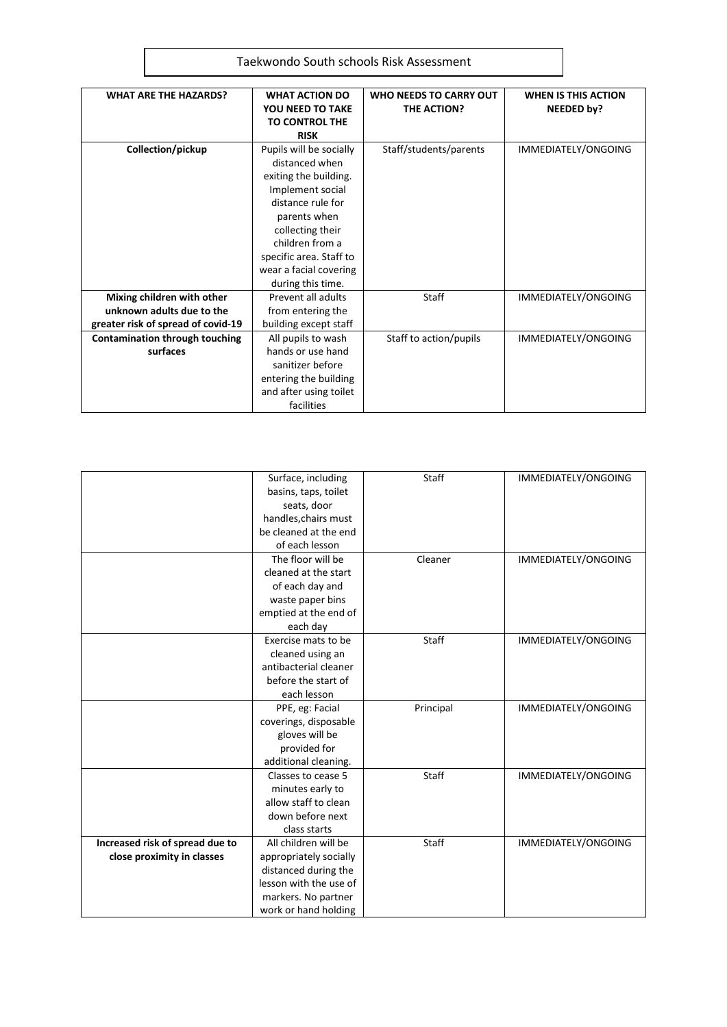## Taekwondo South schools Risk Assessment

| <b>WHAT ARE THE HAZARDS?</b>          | <b>WHAT ACTION DO</b><br>YOU NEED TO TAKE<br><b>TO CONTROL THE</b> | <b>WHO NEEDS TO CARRY OUT</b><br><b>THE ACTION?</b> | <b>WHEN IS THIS ACTION</b><br>NEEDED by? |
|---------------------------------------|--------------------------------------------------------------------|-----------------------------------------------------|------------------------------------------|
|                                       | <b>RISK</b>                                                        |                                                     |                                          |
| Collection/pickup                     | Pupils will be socially                                            | Staff/students/parents                              | IMMEDIATELY/ONGOING                      |
|                                       | distanced when                                                     |                                                     |                                          |
|                                       | exiting the building.                                              |                                                     |                                          |
|                                       | Implement social                                                   |                                                     |                                          |
|                                       | distance rule for                                                  |                                                     |                                          |
|                                       | parents when                                                       |                                                     |                                          |
|                                       | collecting their                                                   |                                                     |                                          |
|                                       | children from a                                                    |                                                     |                                          |
|                                       | specific area. Staff to                                            |                                                     |                                          |
|                                       | wear a facial covering                                             |                                                     |                                          |
|                                       | during this time.                                                  |                                                     |                                          |
| Mixing children with other            | Prevent all adults                                                 | <b>Staff</b>                                        | IMMEDIATELY/ONGOING                      |
| unknown adults due to the             | from entering the                                                  |                                                     |                                          |
| greater risk of spread of covid-19    | building except staff                                              |                                                     |                                          |
| <b>Contamination through touching</b> | All pupils to wash                                                 | Staff to action/pupils                              | IMMEDIATELY/ONGOING                      |
| surfaces                              | hands or use hand                                                  |                                                     |                                          |
|                                       | sanitizer before                                                   |                                                     |                                          |
|                                       | entering the building                                              |                                                     |                                          |
|                                       | and after using toilet                                             |                                                     |                                          |
|                                       | facilities                                                         |                                                     |                                          |

|                                 | Surface, including     | Staff     | IMMEDIATELY/ONGOING |
|---------------------------------|------------------------|-----------|---------------------|
|                                 | basins, taps, toilet   |           |                     |
|                                 | seats, door            |           |                     |
|                                 | handles, chairs must   |           |                     |
|                                 | be cleaned at the end  |           |                     |
|                                 | of each lesson         |           |                     |
|                                 | The floor will be      | Cleaner   | IMMEDIATELY/ONGOING |
|                                 | cleaned at the start   |           |                     |
|                                 | of each day and        |           |                     |
|                                 | waste paper bins       |           |                     |
|                                 | emptied at the end of  |           |                     |
|                                 | each day               |           |                     |
|                                 | Exercise mats to be    | Staff     | IMMEDIATELY/ONGOING |
|                                 | cleaned using an       |           |                     |
|                                 | antibacterial cleaner  |           |                     |
|                                 | before the start of    |           |                     |
|                                 | each lesson            |           |                     |
|                                 | PPE, eg: Facial        | Principal | IMMEDIATELY/ONGOING |
|                                 | coverings, disposable  |           |                     |
|                                 | gloves will be         |           |                     |
|                                 | provided for           |           |                     |
|                                 | additional cleaning.   |           |                     |
|                                 | Classes to cease 5     | Staff     | IMMEDIATELY/ONGOING |
|                                 | minutes early to       |           |                     |
|                                 | allow staff to clean   |           |                     |
|                                 | down before next       |           |                     |
|                                 | class starts           |           |                     |
| Increased risk of spread due to | All children will be   | Staff     | IMMEDIATELY/ONGOING |
| close proximity in classes      | appropriately socially |           |                     |
|                                 | distanced during the   |           |                     |
|                                 | lesson with the use of |           |                     |
|                                 | markers. No partner    |           |                     |
|                                 | work or hand holding   |           |                     |